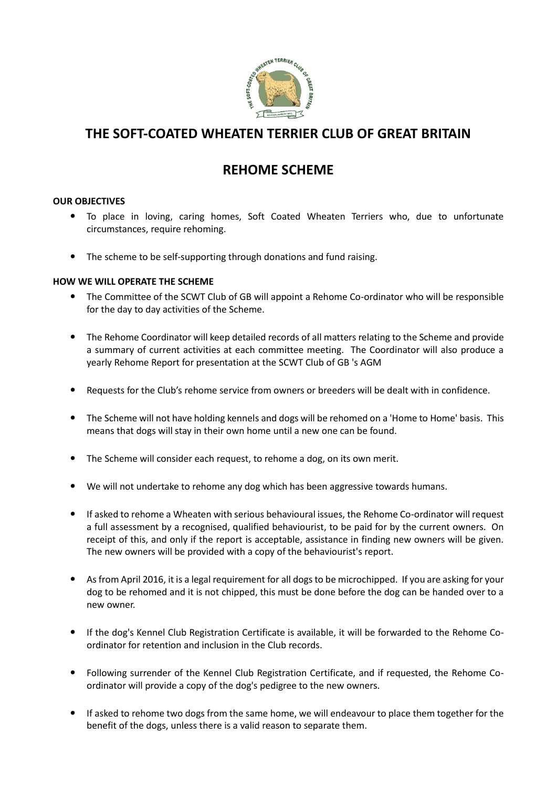

# **THE SOFT-COATED WHEATEN TERRIER CLUB OF GREAT BRITAIN**

## **REHOME SCHEME**

### **OUR OBJECTIVES**

- To place in loving, caring homes, Soft Coated Wheaten Terriers who, due to unfortunate circumstances, require rehoming.
- The scheme to be self-supporting through donations and fund raising.

#### **HOW WE WILL OPERATE THE SCHEME**

- The Committee of the SCWT Club of GB will appoint a Rehome Co-ordinator who will be responsible for the day to day activities of the Scheme.
- The Rehome Coordinator will keep detailed records of all matters relating to the Scheme and provide a summary of current activities at each committee meeting. The Coordinator will also produce a yearly Rehome Report for presentation at the SCWT Club of GB 's AGM
- Requests for the Club's rehome service from owners or breeders will be dealt with in confidence.
- The Scheme will not have holding kennels and dogs will be rehomed on a 'Home to Home' basis. This means that dogs will stay in their own home until a new one can be found.
- The Scheme will consider each request, to rehome a dog, on its own merit.
- We will not undertake to rehome any dog which has been aggressive towards humans.
- If asked to rehome a Wheaten with serious behavioural issues, the Rehome Co-ordinator will request a full assessment by a recognised, qualified behaviourist, to be paid for by the current owners. On receipt of this, and only if the report is acceptable, assistance in finding new owners will be given. The new owners will be provided with a copy of the behaviourist's report.
- As from April 2016, it is a legal requirement for all dogs to be microchipped. If you are asking for your dog to be rehomed and it is not chipped, this must be done before the dog can be handed over to a new owner.
- If the dog's Kennel Club Registration Certificate is available, it will be forwarded to the Rehome Coordinator for retention and inclusion in the Club records.
- Following surrender of the Kennel Club Registration Certificate, and if requested, the Rehome Coordinator will provide a copy of the dog's pedigree to the new owners.
- If asked to rehome two dogs from the same home, we will endeavour to place them together for the benefit of the dogs, unless there is a valid reason to separate them.